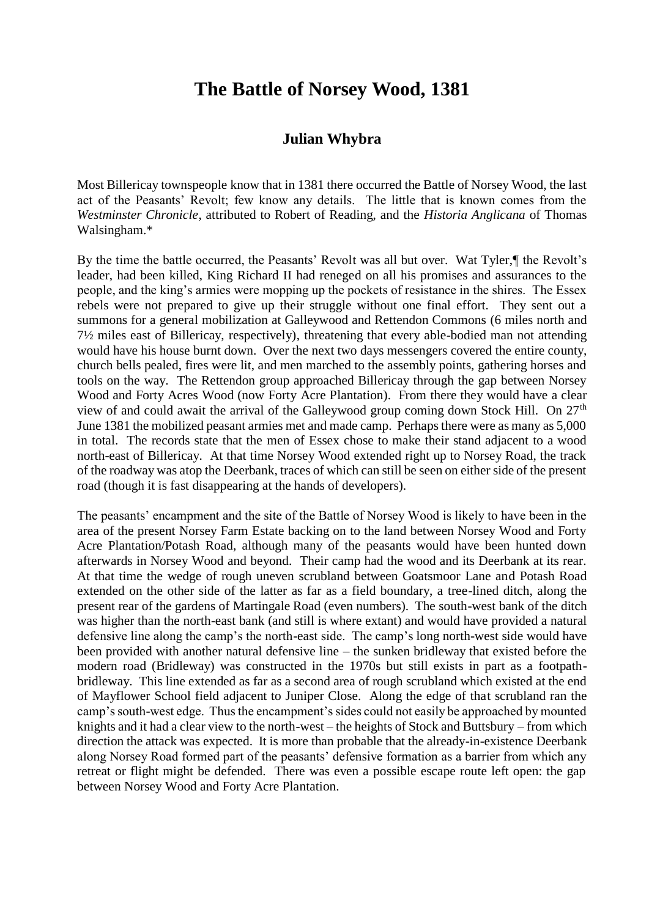## **The Battle of Norsey Wood, 1381**

## **Julian Whybra**

Most Billericay townspeople know that in 1381 there occurred the Battle of Norsey Wood, the last act of the Peasants' Revolt; few know any details. The little that is known comes from the *Westminster Chronicle*, attributed to Robert of Reading, and the *Historia Anglicana* of Thomas Walsingham.\*

By the time the battle occurred, the Peasants' Revolt was all but over. Wat Tyler,¶ the Revolt's leader, had been killed, King Richard II had reneged on all his promises and assurances to the people, and the king's armies were mopping up the pockets of resistance in the shires. The Essex rebels were not prepared to give up their struggle without one final effort. They sent out a summons for a general mobilization at Galleywood and Rettendon Commons (6 miles north and 7½ miles east of Billericay, respectively), threatening that every able-bodied man not attending would have his house burnt down. Over the next two days messengers covered the entire county, church bells pealed, fires were lit, and men marched to the assembly points, gathering horses and tools on the way. The Rettendon group approached Billericay through the gap between Norsey Wood and Forty Acres Wood (now Forty Acre Plantation). From there they would have a clear view of and could await the arrival of the Galleywood group coming down Stock Hill. On  $27<sup>th</sup>$ June 1381 the mobilized peasant armies met and made camp. Perhaps there were as many as 5,000 in total. The records state that the men of Essex chose to make their stand adjacent to a wood north-east of Billericay. At that time Norsey Wood extended right up to Norsey Road, the track of the roadway was atop the Deerbank, traces of which can still be seen on either side of the present road (though it is fast disappearing at the hands of developers).

The peasants' encampment and the site of the Battle of Norsey Wood is likely to have been in the area of the present Norsey Farm Estate backing on to the land between Norsey Wood and Forty Acre Plantation/Potash Road, although many of the peasants would have been hunted down afterwards in Norsey Wood and beyond. Their camp had the wood and its Deerbank at its rear. At that time the wedge of rough uneven scrubland between Goatsmoor Lane and Potash Road extended on the other side of the latter as far as a field boundary, a tree-lined ditch, along the present rear of the gardens of Martingale Road (even numbers). The south-west bank of the ditch was higher than the north-east bank (and still is where extant) and would have provided a natural defensive line along the camp's the north-east side. The camp's long north-west side would have been provided with another natural defensive line – the sunken bridleway that existed before the modern road (Bridleway) was constructed in the 1970s but still exists in part as a footpathbridleway. This line extended as far as a second area of rough scrubland which existed at the end of Mayflower School field adjacent to Juniper Close. Along the edge of that scrubland ran the camp's south-west edge. Thus the encampment's sides could not easily be approached by mounted knights and it had a clear view to the north-west – the heights of Stock and Buttsbury – from which direction the attack was expected. It is more than probable that the already-in-existence Deerbank along Norsey Road formed part of the peasants' defensive formation as a barrier from which any retreat or flight might be defended. There was even a possible escape route left open: the gap between Norsey Wood and Forty Acre Plantation.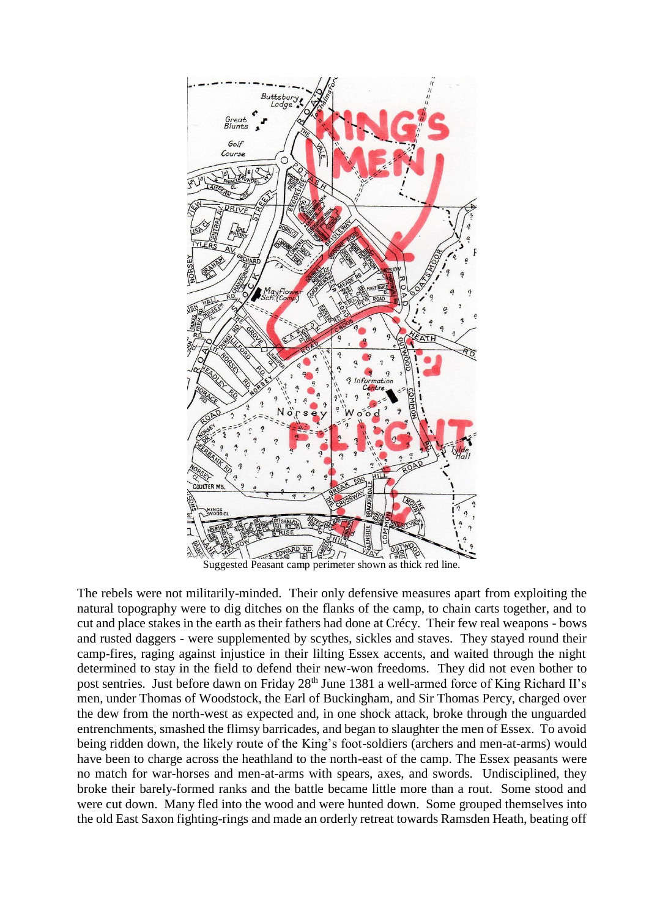

Suggested Peasant camp perimeter shown as thick red line.

The rebels were not militarily-minded. Their only defensive measures apart from exploiting the natural topography were to dig ditches on the flanks of the camp, to chain carts together, and to cut and place stakes in the earth as their fathers had done at Crécy. Their few real weapons - bows and rusted daggers - were supplemented by scythes, sickles and staves. They stayed round their camp-fires, raging against injustice in their lilting Essex accents, and waited through the night determined to stay in the field to defend their new-won freedoms. They did not even bother to post sentries. Just before dawn on Friday 28<sup>th</sup> June 1381 a well-armed force of King Richard II's men, under Thomas of Woodstock, the Earl of Buckingham, and Sir Thomas Percy, charged over the dew from the north-west as expected and, in one shock attack, broke through the unguarded entrenchments, smashed the flimsy barricades, and began to slaughter the men of Essex. To avoid being ridden down, the likely route of the King's foot-soldiers (archers and men-at-arms) would have been to charge across the heathland to the north-east of the camp. The Essex peasants were no match for war-horses and men-at-arms with spears, axes, and swords. Undisciplined, they broke their barely-formed ranks and the battle became little more than a rout. Some stood and were cut down. Many fled into the wood and were hunted down. Some grouped themselves into the old East Saxon fighting-rings and made an orderly retreat towards Ramsden Heath, beating off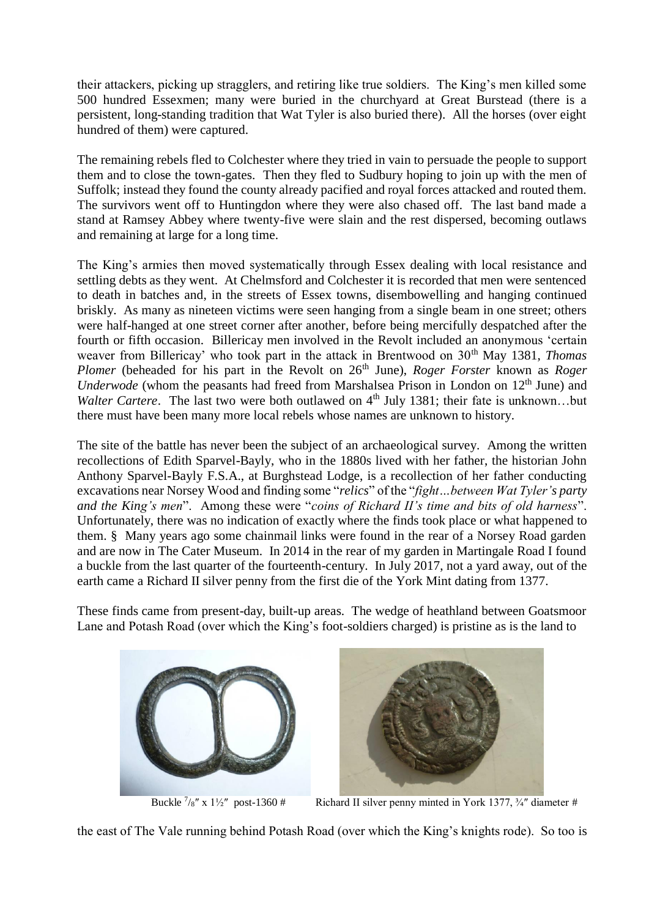their attackers, picking up stragglers, and retiring like true soldiers. The King's men killed some 500 hundred Essexmen; many were buried in the churchyard at Great Burstead (there is a persistent, long-standing tradition that Wat Tyler is also buried there). All the horses (over eight hundred of them) were captured.

The remaining rebels fled to Colchester where they tried in vain to persuade the people to support them and to close the town-gates. Then they fled to Sudbury hoping to join up with the men of Suffolk; instead they found the county already pacified and royal forces attacked and routed them. The survivors went off to Huntingdon where they were also chased off. The last band made a stand at Ramsey Abbey where twenty-five were slain and the rest dispersed, becoming outlaws and remaining at large for a long time.

The King's armies then moved systematically through Essex dealing with local resistance and settling debts as they went. At Chelmsford and Colchester it is recorded that men were sentenced to death in batches and, in the streets of Essex towns, disembowelling and hanging continued briskly. As many as nineteen victims were seen hanging from a single beam in one street; others were half-hanged at one street corner after another, before being mercifully despatched after the fourth or fifth occasion. Billericay men involved in the Revolt included an anonymous 'certain weaver from Billericay' who took part in the attack in Brentwood on 30<sup>th</sup> May 1381, *Thomas Plomer* (beheaded for his part in the Revolt on 26<sup>th</sup> June), *Roger Forster* known as *Roger Underwode* (whom the peasants had freed from Marshalsea Prison in London on 12<sup>th</sup> June) and *Walter Cartere*. The last two were both outlawed on 4<sup>th</sup> July 1381; their fate is unknown...but there must have been many more local rebels whose names are unknown to history.

The site of the battle has never been the subject of an archaeological survey. Among the written recollections of Edith Sparvel-Bayly, who in the 1880s lived with her father, the historian John Anthony Sparvel-Bayly F.S.A., at Burghstead Lodge, is a recollection of her father conducting excavations near Norsey Wood and finding some "*relics*" of the "*fight…between Wat Tyler's party and the King's men*". Among these were "*coins of Richard II's time and bits of old harness*". Unfortunately, there was no indication of exactly where the finds took place or what happened to them. § Many years ago some chainmail links were found in the rear of a Norsey Road garden and are now in The Cater Museum. In 2014 in the rear of my garden in Martingale Road I found a buckle from the last quarter of the fourteenth-century. In July 2017, not a yard away, out of the earth came a Richard II silver penny from the first die of the York Mint dating from 1377.

These finds came from present-day, built-up areas. The wedge of heathland between Goatsmoor Lane and Potash Road (over which the King's foot-soldiers charged) is pristine as is the land to



Buckle  $\frac{7}{8}$ " x 1½" post-1360 #



Richard II silver penny minted in York 1377, 3/4" diameter #

the east of The Vale running behind Potash Road (over which the King's knights rode). So too is